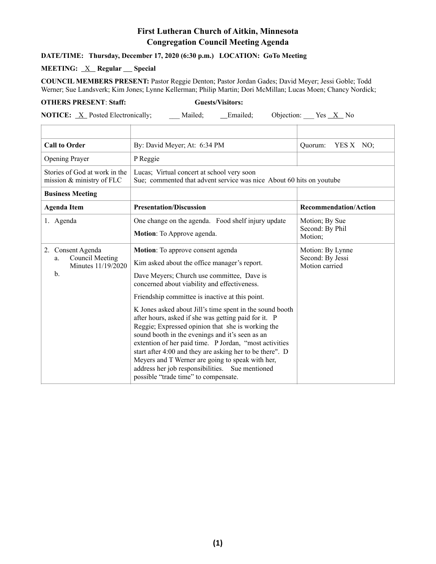## **First Lutheran Church of Aitkin, Minnesota Congregation Council Meeting Agenda**

## **DATE/TIME: Thursday, December 17, 2020 (6:30 p.m.) LOCATION: GoTo Meeting**

## **MEETING:** <u>X</u> Regular Special

**COUNCIL MEMBERS PRESENT:** Pastor Reggie Denton; Pastor Jordan Gades; David Meyer; Jessi Goble; Todd Werner; Sue Landsverk; Kim Jones; Lynne Kellerman; Philip Martin; Dori McMillan; Lucas Moen; Chancy Nordick;

## **OTHERS PRESENT**: **Staff: Guests/Visitors:**

**NOTICE:** <u>X</u> Posted Electronically; \_\_\_ Mailed; \_\_\_ Emailed; Objection: \_\_\_ Yes <u>X</u> No

| <b>Call to Order</b>                                                                  | By: David Meyer; At: 6:34 PM                                                                                                                                                                                                                                                                                                                                                                                                                                                                                                                                                                                                                                                                                                        | Quorum:<br>YES $X$ NO;                                 |
|---------------------------------------------------------------------------------------|-------------------------------------------------------------------------------------------------------------------------------------------------------------------------------------------------------------------------------------------------------------------------------------------------------------------------------------------------------------------------------------------------------------------------------------------------------------------------------------------------------------------------------------------------------------------------------------------------------------------------------------------------------------------------------------------------------------------------------------|--------------------------------------------------------|
| <b>Opening Prayer</b>                                                                 | P Reggie                                                                                                                                                                                                                                                                                                                                                                                                                                                                                                                                                                                                                                                                                                                            |                                                        |
| Stories of God at work in the<br>mission & ministry of FLC                            | Lucas; Virtual concert at school very soon<br>Sue; commented that advent service was nice About 60 hits on youtube                                                                                                                                                                                                                                                                                                                                                                                                                                                                                                                                                                                                                  |                                                        |
| <b>Business Meeting</b>                                                               |                                                                                                                                                                                                                                                                                                                                                                                                                                                                                                                                                                                                                                                                                                                                     |                                                        |
| <b>Agenda Item</b>                                                                    | <b>Presentation/Discussion</b>                                                                                                                                                                                                                                                                                                                                                                                                                                                                                                                                                                                                                                                                                                      | <b>Recommendation/Action</b>                           |
| 1. Agenda                                                                             | One change on the agenda. Food shelf injury update<br>Motion: To Approve agenda.                                                                                                                                                                                                                                                                                                                                                                                                                                                                                                                                                                                                                                                    | Motion; By Sue<br>Second: By Phil<br>Motion;           |
| Consent Agenda<br>2.<br>Council Meeting<br>a.<br>Minutes 11/19/2020<br>$\mathbf{b}$ . | Motion: To approve consent agenda<br>Kim asked about the office manager's report.<br>Dave Meyers; Church use committee, Dave is<br>concerned about viability and effectiveness.<br>Friendship committee is inactive at this point.<br>K Jones asked about Jill's time spent in the sound booth<br>after hours, asked if she was getting paid for it. P<br>Reggie; Expressed opinion that she is working the<br>sound booth in the evenings and it's seen as an<br>extention of her paid time. P Jordan, "most activities<br>start after 4:00 and they are asking her to be there". D<br>Meyers and T Werner are going to speak with her,<br>address her job responsibilities. Sue mentioned<br>possible "trade time" to compensate. | Motion: By Lynne<br>Second: By Jessi<br>Motion carried |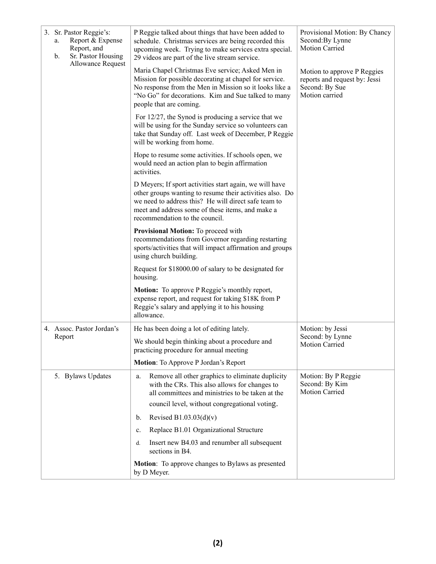| a.<br>b. | 3. Sr. Pastor Reggie's:<br>Report & Expense<br>Report, and<br>Sr. Pastor Housing<br><b>Allowance Request</b> | P Reggie talked about things that have been added to<br>schedule. Christmas services are being recorded this<br>upcoming week. Trying to make services extra special.<br>29 videos are part of the live stream service.                                           | Provisional Motion: By Chancy<br>Second: By Lynne<br><b>Motion Carried</b>                       |
|----------|--------------------------------------------------------------------------------------------------------------|-------------------------------------------------------------------------------------------------------------------------------------------------------------------------------------------------------------------------------------------------------------------|--------------------------------------------------------------------------------------------------|
|          |                                                                                                              | Maria Chapel Christmas Eve service; Asked Men in<br>Mission for possible decorating at chapel for service.<br>No response from the Men in Mission so it looks like a<br>"No Go" for decorations. Kim and Sue talked to many<br>people that are coming.            | Motion to approve P Reggies<br>reports and request by: Jessi<br>Second: By Sue<br>Motion carried |
|          |                                                                                                              | For $12/27$ , the Synod is producing a service that we<br>will be using for the Sunday service so volunteers can<br>take that Sunday off. Last week of December, P Reggie<br>will be working from home.                                                           |                                                                                                  |
|          |                                                                                                              | Hope to resume some activities. If schools open, we<br>would need an action plan to begin affirmation<br>activities.                                                                                                                                              |                                                                                                  |
|          |                                                                                                              | D Meyers; If sport activities start again, we will have<br>other groups wanting to resume their activities also. Do<br>we need to address this? He will direct safe team to<br>meet and address some of these items, and make a<br>recommendation to the council. |                                                                                                  |
|          |                                                                                                              | Provisional Motion: To proceed with<br>recommendations from Governor regarding restarting<br>sports/activities that will impact affirmation and groups<br>using church building.                                                                                  |                                                                                                  |
|          |                                                                                                              | Request for \$18000.00 of salary to be designated for<br>housing.                                                                                                                                                                                                 |                                                                                                  |
|          |                                                                                                              | <b>Motion:</b> To approve P Reggie's monthly report,<br>expense report, and request for taking \$18K from P<br>Reggie's salary and applying it to his housing<br>allowance.                                                                                       |                                                                                                  |
|          | 4. Assoc. Pastor Jordan's<br>Report                                                                          | He has been doing a lot of editing lately.                                                                                                                                                                                                                        | Motion: by Jessi                                                                                 |
|          |                                                                                                              | We should begin thinking about a procedure and<br>practicing procedure for annual meeting                                                                                                                                                                         | Second: by Lynne<br>Motion Carried                                                               |
|          |                                                                                                              | Motion: To Approve P Jordan's Report                                                                                                                                                                                                                              |                                                                                                  |
|          | 5. Bylaws Updates                                                                                            | Remove all other graphics to eliminate duplicity<br>a.<br>with the CRs. This also allows for changes to<br>all committees and ministries to be taken at the                                                                                                       | Motion: By P Reggie<br>Second: By Kim<br><b>Motion Carried</b>                                   |
|          |                                                                                                              | council level, without congregational voting.                                                                                                                                                                                                                     |                                                                                                  |
|          |                                                                                                              | Revised B1.03.03 $(d)(v)$<br>b.                                                                                                                                                                                                                                   |                                                                                                  |
|          |                                                                                                              | Replace B1.01 Organizational Structure<br>c.                                                                                                                                                                                                                      |                                                                                                  |
|          |                                                                                                              | Insert new B4.03 and renumber all subsequent<br>d.<br>sections in B4.                                                                                                                                                                                             |                                                                                                  |
|          |                                                                                                              | Motion: To approve changes to Bylaws as presented<br>by D Meyer.                                                                                                                                                                                                  |                                                                                                  |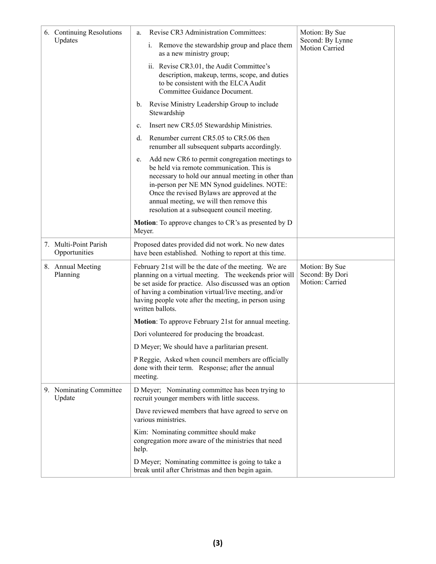| 6. Continuing Resolutions<br>Updates   | Revise CR3 Administration Committees:<br>a.<br>Remove the stewardship group and place them<br>1.<br>as a new ministry group;<br>ii. Revise CR3.01, the Audit Committee's<br>description, makeup, terms, scope, and duties<br>to be consistent with the ELCA Audit<br>Committee Guidance Document.<br>Revise Ministry Leadership Group to include<br>b.<br>Stewardship<br>Insert new CR5.05 Stewardship Ministries.<br>$\mathbf{c}$ .<br>Renumber current CR5.05 to CR5.06 then<br>d.<br>renumber all subsequent subparts accordingly.<br>Add new CR6 to permit congregation meetings to<br>e. | Motion: By Sue<br>Second: By Lynne<br><b>Motion Carried</b> |
|----------------------------------------|-----------------------------------------------------------------------------------------------------------------------------------------------------------------------------------------------------------------------------------------------------------------------------------------------------------------------------------------------------------------------------------------------------------------------------------------------------------------------------------------------------------------------------------------------------------------------------------------------|-------------------------------------------------------------|
|                                        | be held via remote communication. This is<br>necessary to hold our annual meeting in other than<br>in-person per NE MN Synod guidelines. NOTE:<br>Once the revised Bylaws are approved at the<br>annual meeting, we will then remove this<br>resolution at a subsequent council meeting.<br><b>Motion:</b> To approve changes to CR's as presented by D<br>Meyer.                                                                                                                                                                                                                             |                                                             |
| 7. Multi-Point Parish<br>Opportunities | Proposed dates provided did not work. No new dates<br>have been established. Nothing to report at this time.                                                                                                                                                                                                                                                                                                                                                                                                                                                                                  |                                                             |
| 8. Annual Meeting<br>Planning          | February 21st will be the date of the meeting. We are<br>planning on a virtual meeting. The weekends prior will<br>be set aside for practice. Also discussed was an option<br>of having a combination virtual/live meeting, and/or<br>having people vote after the meeting, in person using<br>written ballots.                                                                                                                                                                                                                                                                               | Motion: By Sue<br>Second: By Dori<br>Motion: Carried        |
|                                        | Motion: To approve February 21st for annual meeting.                                                                                                                                                                                                                                                                                                                                                                                                                                                                                                                                          |                                                             |
|                                        | Dori volunteered for producing the broadcast.                                                                                                                                                                                                                                                                                                                                                                                                                                                                                                                                                 |                                                             |
|                                        | D Meyer; We should have a parlitarian present.                                                                                                                                                                                                                                                                                                                                                                                                                                                                                                                                                |                                                             |
|                                        | P Reggie, Asked when council members are officially<br>done with their term. Response; after the annual<br>meeting.                                                                                                                                                                                                                                                                                                                                                                                                                                                                           |                                                             |
| 9. Nominating Committee<br>Update      | D Meyer; Nominating committee has been trying to<br>recruit younger members with little success.                                                                                                                                                                                                                                                                                                                                                                                                                                                                                              |                                                             |
|                                        | Dave reviewed members that have agreed to serve on<br>various ministries.                                                                                                                                                                                                                                                                                                                                                                                                                                                                                                                     |                                                             |
|                                        | Kim: Nominating committee should make<br>congregation more aware of the ministries that need<br>help.                                                                                                                                                                                                                                                                                                                                                                                                                                                                                         |                                                             |
|                                        | D Meyer; Nominating committee is going to take a<br>break until after Christmas and then begin again.                                                                                                                                                                                                                                                                                                                                                                                                                                                                                         |                                                             |